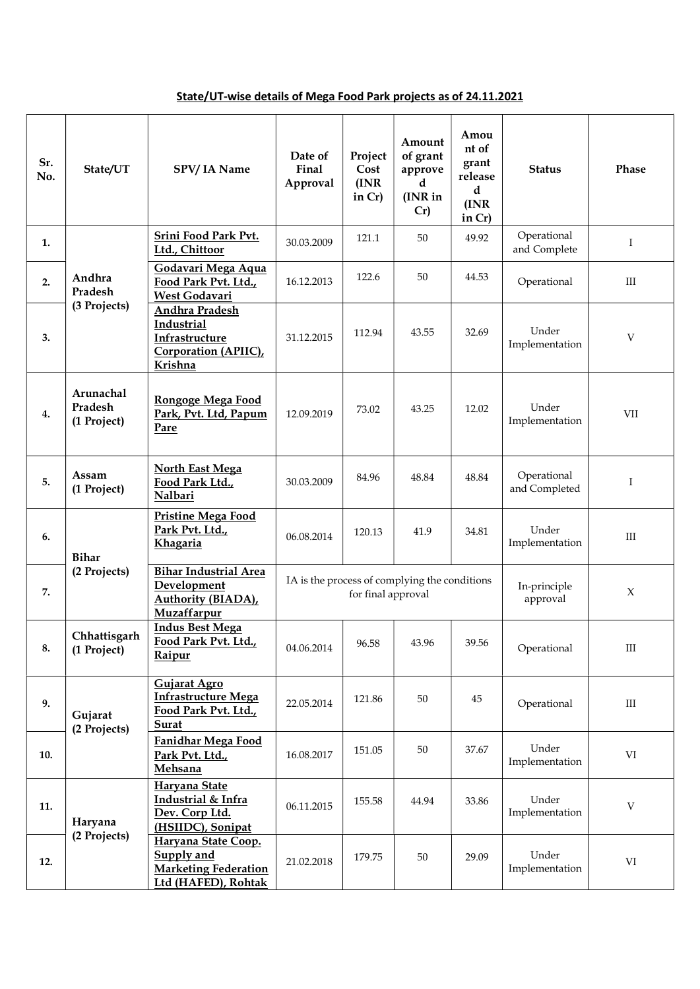## State/UT-wise details of Mega Food Park projects as of 24.11.2021

| Sr.<br>No. | State/UT                            | SPV/IA Name                                                                             | Date of<br>Final<br>Approval | Project<br>Cost<br>(INR)<br>in $Cr$ ) | Amount<br>of grant<br>approve<br>d<br>(INR in<br>Cr) | Amou<br>nt of<br>grant<br>release<br>d<br>(INR)<br>in Cr) | <b>Status</b>                | <b>Phase</b> |
|------------|-------------------------------------|-----------------------------------------------------------------------------------------|------------------------------|---------------------------------------|------------------------------------------------------|-----------------------------------------------------------|------------------------------|--------------|
| 1.         |                                     | Srini Food Park Pvt.<br>Ltd., Chittoor                                                  | 30.03.2009                   | 121.1                                 | 50                                                   | 49.92                                                     | Operational<br>and Complete  | $\bf I$      |
| 2.         | Andhra<br>Pradesh<br>(3 Projects)   | Godavari Mega Aqua<br>Food Park Pvt. Ltd.,<br>West Godavari                             | 16.12.2013                   | 122.6                                 | 50                                                   | 44.53                                                     | Operational                  | $\rm III$    |
| 3.         |                                     | Andhra Pradesh<br>Industrial<br>Infrastructure<br>Corporation (APIIC),<br>Krishna       | 31.12.2015                   | 112.94                                | 43.55                                                | 32.69                                                     | Under<br>Implementation      | V            |
| 4.         | Arunachal<br>Pradesh<br>(1 Project) | Rongoge Mega Food<br>Park, Pvt. Ltd, Papum<br>Pare                                      | 12.09.2019                   | 73.02                                 | 43.25                                                | 12.02                                                     | Under<br>Implementation      | <b>VII</b>   |
| 5.         | Assam<br>(1 Project)                | <b>North East Mega</b><br>Food Park Ltd.,<br>Nalbari                                    | 30.03.2009                   | 84.96                                 | 48.84                                                | 48.84                                                     | Operational<br>and Completed | $\bf{I}$     |
| 6.         | <b>Bihar</b>                        | <b>Pristine Mega Food</b><br>Park Pvt. Ltd.,<br>Khagaria                                | 06.08.2014                   | 120.13                                | 41.9                                                 | 34.81                                                     | Under<br>Implementation      | $\rm III$    |
| 7.         | (2 Projects)                        | IA is the process of complying the conditions                                           | for final approval           |                                       | In-principle<br>approval                             | $\chi$                                                    |                              |              |
| 8.         | Chhattisgarh<br>(1 Project)         | <b>Indus Best Mega</b><br>Food Park Pvt. Ltd.,<br>Raipur                                | 04.06.2014                   | 96.58                                 | 43.96                                                | 39.56                                                     | Operational                  | $\rm III$    |
| 9.         | Gujarat<br>(2 Projects)             | Gujarat Agro<br><b>Infrastructure Mega</b><br>Food Park Pvt. Ltd.,<br>Surat             | 22.05.2014                   | 121.86                                | 50                                                   | 45                                                        | Operational                  | $\rm III$    |
| 10.        |                                     | Fanidhar Mega Food<br>Park Pvt. Ltd.,<br>Mehsana                                        | 16.08.2017                   | 151.05                                | 50                                                   | 37.67                                                     | Under<br>Implementation      | VI           |
| 11.        | Haryana                             | Haryana State<br>Industrial & Infra<br>Dev. Corp Ltd.<br>(HSIIDC), Sonipat              | 06.11.2015                   | 155.58                                | 44.94                                                | 33.86                                                     | Under<br>Implementation      | $\mathbf V$  |
| 12.        | (2 Projects)                        | Haryana State Coop.<br>Supply and<br><b>Marketing Federation</b><br>Ltd (HAFED), Rohtak | 21.02.2018                   | 179.75                                | 50                                                   | 29.09                                                     | Under<br>Implementation      | VI           |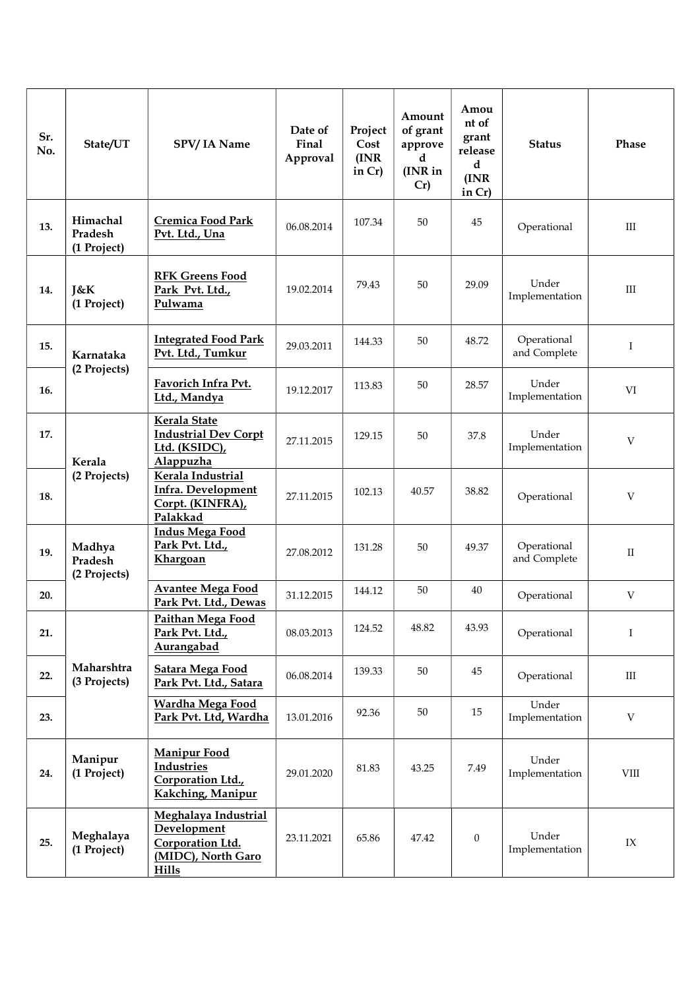| Sr.<br>No. | State/UT                           | SPV/IA Name                                                                                   | Date of<br>Final<br>Approval | Project<br>Cost<br>(INR)<br>in $Cr$ ) | Amount<br>of grant<br>approve<br>d<br>(INR in<br>Cr) | Amou<br>nt of<br>grant<br>release<br>d<br>(INR)<br>in Cr) | <b>Status</b>               | Phase                     |
|------------|------------------------------------|-----------------------------------------------------------------------------------------------|------------------------------|---------------------------------------|------------------------------------------------------|-----------------------------------------------------------|-----------------------------|---------------------------|
| 13.        | Himachal<br>Pradesh<br>(1 Project) | <b>Cremica Food Park</b><br>Pvt. Ltd., Una                                                    | 06.08.2014                   | 107.34                                | 50                                                   | 45                                                        | Operational                 | $\rm III$                 |
| 14.        | <b>J&amp;K</b><br>(1 Project)      | <b>RFK Greens Food</b><br>Park Pvt. Ltd.,<br>Pulwama                                          | 19.02.2014                   | 79.43                                 | 50                                                   | 29.09                                                     | Under<br>Implementation     | III                       |
| 15.        | Karnataka                          | <b>Integrated Food Park</b><br>Pvt. Ltd., Tumkur                                              | 29.03.2011                   | 144.33                                | 50                                                   | 48.72                                                     | Operational<br>and Complete | $\bf I$                   |
| 16.        | (2 Projects)                       | Favorich Infra Pvt.<br>Ltd., Mandya                                                           | 19.12.2017                   | 113.83                                | 50                                                   | 28.57                                                     | Under<br>Implementation     | VI                        |
| 17.        | Kerala                             | Kerala State<br><b>Industrial Dev Corpt</b><br>Ltd. (KSIDC),<br>Alappuzha                     | 27.11.2015                   | 129.15                                | 50                                                   | 37.8                                                      | Under<br>Implementation     | V                         |
| 18.        | (2 Projects)                       | Kerala Industrial<br>Infra. Development<br>Corpt. (KINFRA),<br>Palakkad                       | 27.11.2015                   | 102.13                                | 40.57                                                | 38.82                                                     | Operational                 | V                         |
| 19.        | Madhya<br>Pradesh<br>(2 Projects)  | <b>Indus Mega Food</b><br>Park Pvt. Ltd.,<br>Khargoan                                         | 27.08.2012                   | 131.28                                | 50                                                   | 49.37                                                     | Operational<br>and Complete | $\mathbf{I}$              |
| 20.        |                                    | <b>Avantee Mega Food</b><br>Park Pvt. Ltd., Dewas                                             | 31.12.2015                   | 144.12                                | 50                                                   | 40                                                        | Operational                 | V                         |
| 21.        |                                    | Paithan Mega Food<br>Park Pvt. Ltd.,<br>Aurangabad                                            | 08.03.2013                   | 124.52                                | 48.82                                                | 43.93                                                     | Operational                 | $\mathbf I$               |
| 22.        | Maharshtra<br>(3 Projects)         | <b>Satara Mega Food</b><br>Park Pvt. Ltd., Satara                                             | 06.08.2014                   | 139.33                                | 50                                                   | 45                                                        | Operational                 | $\mathop{\rm III}$        |
| 23.        |                                    | Wardha Mega Food<br>Park Pvt. Ltd, Wardha                                                     | 13.01.2016                   | 92.36                                 | 50                                                   | 15                                                        | Under<br>Implementation     | $\ensuremath{\mathbf{V}}$ |
| 24.        | Manipur<br>(1 Project)             | <b>Manipur Food</b><br><b>Industries</b><br>Corporation Ltd.,<br>Kakching, Manipur            | 29.01.2020                   | 81.83                                 | 43.25                                                | 7.49                                                      | Under<br>Implementation     | VIII                      |
| 25.        | Meghalaya<br>(1 Project)           | Meghalaya Industrial<br>Development<br>Corporation Ltd.<br>(MIDC), North Garo<br><b>Hills</b> | 23.11.2021                   | 65.86                                 | 47.42                                                | $\mathbf{0}$                                              | Under<br>Implementation     | IX                        |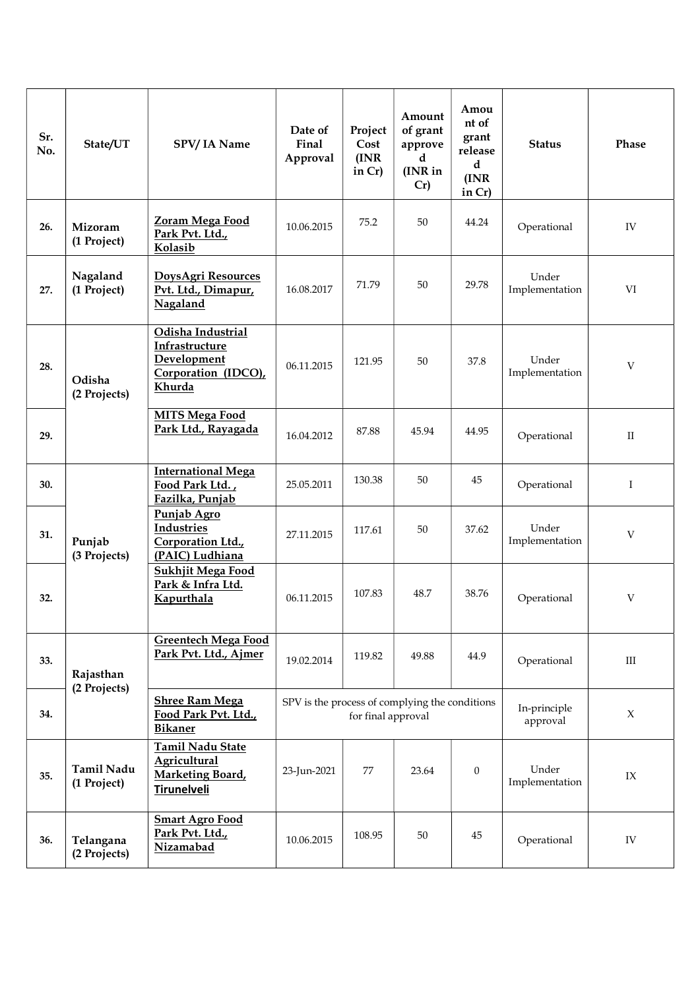| Sr.<br>No. | State/UT                         | SPV/IA Name                                                                         | Date of<br>Final<br>Approval                                         | Project<br>Cost<br>(INR)<br>in $Cr$ ) | Amount<br>of grant<br>approve<br>d<br>(INR in<br>Cr) | Amou<br>nt of<br>grant<br>release<br>$\mathbf d$<br>(INR)<br>in $Cr$ ) | <b>Status</b>            | Phase       |
|------------|----------------------------------|-------------------------------------------------------------------------------------|----------------------------------------------------------------------|---------------------------------------|------------------------------------------------------|------------------------------------------------------------------------|--------------------------|-------------|
| 26.        | Mizoram<br>(1 Project)           | Zoram Mega Food<br>Park Pvt. Ltd.,<br>Kolasib                                       | 10.06.2015                                                           | 75.2                                  | 50                                                   | 44.24                                                                  | Operational              | IV          |
| 27.        | Nagaland<br>(1 Project)          | DoysAgri Resources<br>Pvt. Ltd., Dimapur,<br>Nagaland                               | 16.08.2017                                                           | 71.79                                 | 50                                                   | 29.78                                                                  | Under<br>Implementation  | VI          |
| 28.        | Odisha<br>(2 Projects)           | Odisha Industrial<br>Infrastructure<br>Development<br>Corporation (IDCO),<br>Khurda | 06.11.2015                                                           | 121.95                                | 50                                                   | 37.8                                                                   | Under<br>Implementation  | V           |
| 29.        |                                  | <b>MITS Mega Food</b><br>Park Ltd., Rayagada                                        | 16.04.2012                                                           | 87.88                                 | 45.94                                                | 44.95                                                                  | Operational              | $\rm II$    |
| 30.        |                                  | <b>International Mega</b><br>Food Park Ltd.,<br>Fazilka, Punjab                     | 25.05.2011                                                           | 130.38                                | 50                                                   | 45                                                                     | Operational              | $\mathbf I$ |
| 31.        | Punjab<br>(3 Projects)           | Punjab Agro<br>Industries<br>Corporation Ltd.,<br>(PAIC) Ludhiana                   | 27.11.2015                                                           | 117.61                                | 50                                                   | 37.62                                                                  | Under<br>Implementation  | V           |
| 32.        |                                  | <b>Sukhjit Mega Food</b><br>Park & Infra Ltd.<br>Kapurthala                         | 06.11.2015                                                           | 107.83                                | 48.7                                                 | 38.76                                                                  | Operational              | V           |
| 33.        | Rajasthan                        | <b>Greentech Mega Food</b><br>Park Pvt. Ltd., Ajmer                                 | 19.02.2014                                                           | 119.82                                | 49.88                                                | 44.9                                                                   | Operational              | $\rm III$   |
| 34.        | (2 Projects)                     | <b>Shree Ram Mega</b><br>Food Park Pvt. Ltd.,<br><b>Bikaner</b>                     | SPV is the process of complying the conditions<br>for final approval |                                       |                                                      |                                                                        | In-principle<br>approval | $\chi$      |
| 35.        | <b>Tamil Nadu</b><br>(1 Project) | Tamil Nadu State<br><b>Agricultural</b><br>Marketing Board,<br>Tirunelveli          | 23-Jun-2021                                                          | 77                                    | 23.64                                                | $\boldsymbol{0}$                                                       | Under<br>Implementation  | IX          |
| 36.        | Telangana<br>(2 Projects)        | <b>Smart Agro Food</b><br>Park Pvt. Ltd.,<br>Nizamabad                              | 10.06.2015                                                           | 108.95                                | 50                                                   | 45                                                                     | Operational              | IV          |